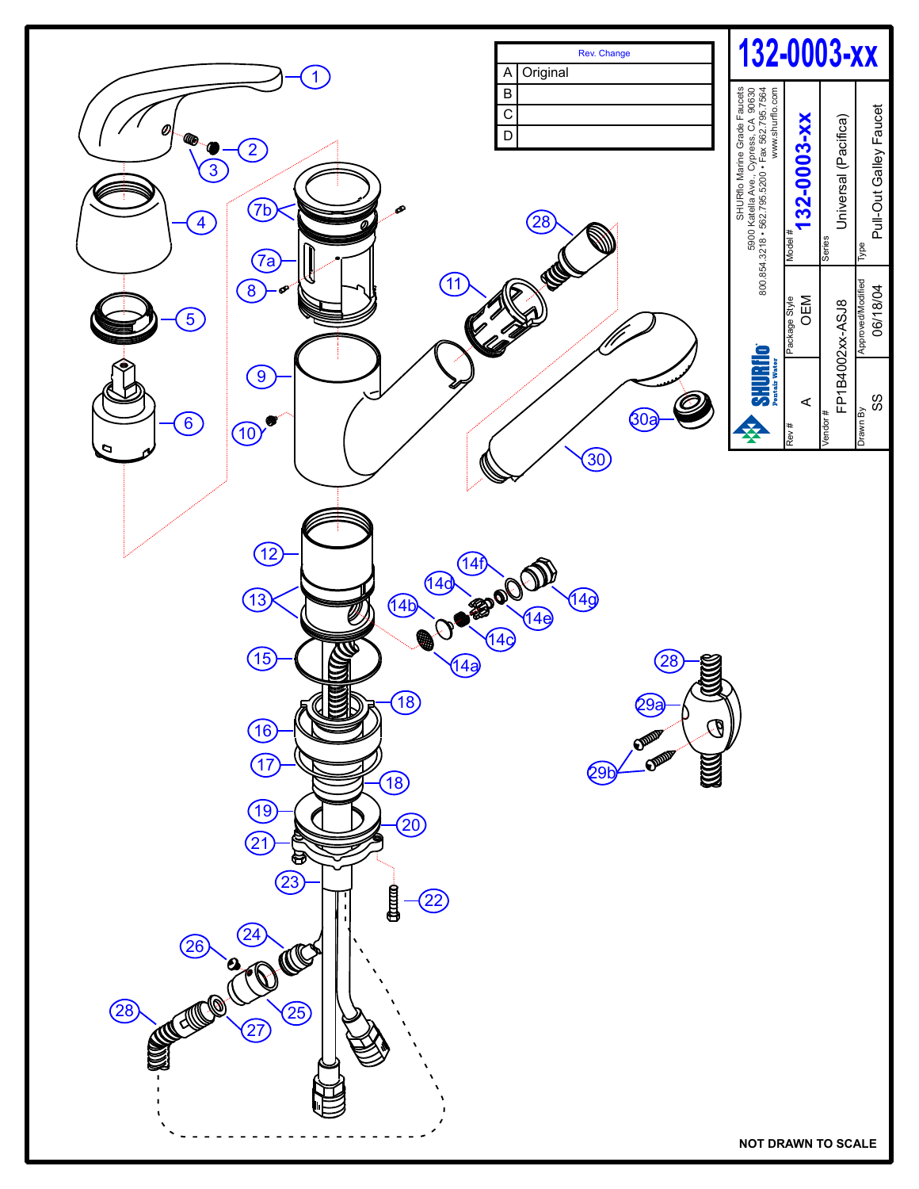